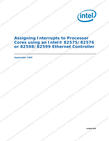

## **Assigning Interrupts to Processor Cores using an Intel® 82575/82576 or 82598/82599 Ethernet Controller**

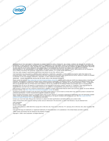

INFORMATION IN THIS DOCUMENT IS PROVIDED IN CONNECTION WITH INTEL® PRODUCTS. NO LICENSE, EXPRESS OR IMPLIED, BY ESTOPPEL OR<br>OTHERWISE, TO ANY INTELLECTUAL PROPERTY RIGHTS IS GRANTED BY THIS DOCUMENT. EXCEPT AS PROVIDED IN OF SALE FOR SUCH PRODUCTS, INTEL ASSUMES NO LIABILITY WHATSOEVER, AND INTEL DISCLAIMS ANY EXPRESS OR IMPLIED WARRANTY, RELATING TO SALE AND/OR USE OF INTEL PRODUCTS INCLUDING LIABILITY OR WARRANTIES RELATING TO FITNESS FOR A PARTICULAR PURPOSE,<br>MERCHANTABILITY, OR INFRINGEMENT OF ANY PATENT, COPYRIGHT OR OTHER INTELLECTUAL PROPERTY RIGHT. Intel pro use in medical, life saving, life sustaining, critical control or safety systems, or in nuclear facility applications.

Intel may make changes to specifications and product descriptions at any time, without notice.

Intel Corporation may have patents or pending patent applications, trademarks, copyrights, or other intellectual property rights that relate to the presented subject matter. The furnishing of documents and other materials and information does not provide any license, express or implied, by estoppel or otherwise, to any such patents, trademarks, copyrights, or other intellectual property rights.

IMPORTANT - PLEASE READ BEFORE INSTALLING OR USING INTEL® PRE-RELEASE PRODUCTS.

Please review the terms at http://www.intel.com/netcomms/prerelease\_terms.htm carefully before using any Intel® pre-release product, including any<br>evaluation, development or reference hardware and/or software product (coll indicate your acceptance of these terms, which constitute the agreement (the "Agreement") between you and Intel Corporation ("Intel"). In the event that you do not agree with any of these terms and conditions, do not use or install the Pre-Release Product and promptly return it unused to Intel. Designers must not rely on the absence or characteristics of any features or instructions marked "reserved" or "undefined." Intel reserves these for future definition and shall have no responsibility whatsoever for conflicts or incompatibilities arising from future changes to them. **undefined undefined undefined undefined undefined undefined undefined undefined undefined undefined undefined undefined undefined undefined undefined undefined undefined undefined undefined undefined undefined undefined undefined undefined undefined undefined undefined undefined undefined undefined undefined undefined undefined undefined undefined undefined undefined undefined undefined undefined undefined undefined undefined undefined undefined undefined undefined undefined undefined undefined undefined undefined undefined undefined undefined undefined undefined undefined undefined undefined undefined undefined undefined undefined undefined undefined undefined undefined undefined undefined undefined undefined undefined undefined undefined undefined undefined undefined undefined undefined undefined undefined undefined undefined undefined undefined undefined undefined undefined undefined undefined undefined undefined undefined undefined undefined undefined undefined undefined undefined undefined undefined undefined undefined undefined undefined undefined undefined undefined undefined undefined undefined undefined undefined undefined undefined undefined undefined undefined undefined undefined undefined undefined undefined undefined undefined undefined undefined undefined undefined undefined undefined undefined undefined undefined undefined undefined undefined undefined undefined undefined undefined undefined undefined undefined undefined undefined undefined undefined undefined undefined undefined undefined undefined undefined undefined undefined undefined undefined undefined undefined undefined undefined undefined undefined undefined undefined undefined undefined undefined undefined undefined undefined undefined undefined undefined undefined undefined undefined undefined undefined undefined undefined undefined undefined undefined undefined undefined undefined undefined undefined undefined undefined undefined undefined undefined undefined undefined undefined undefined undefined undefined undefined undefined undefined undefined undefined undefined undefined undefined undefined undefined undefined undefined undefined undefined undefined undefined undefined undefined undefined undefined undefined undefined undefined undefined undefined undefined undefined undefined undefined undefined undefined undefined undefined undefined undefined undefined undefined undefined undefined undefined undefined undefined undefined undefined undefined undefined undefined undefined undefined undefined undefined undefined undefined undefined undefined undefined undefined undefined undefined undefined undefined undefined undefined undefined undefined undefined undefined undefined undefined undefined undefined undefined undefined undefined undefined undefined undefined undefined undefined undefined undefined undefined undefined undefined undefined undefined undefined undefined undefined undefined undefined undefined undefined undefined undefined undefined undefined undefined undefined undefined undefined undefined undefined undefined undefined undefined undefined undefined undefined undefined undefined undefined undefined undefined undefined undefined undefined undefined undefined undefined undefined undefined undefined undefined undefined undefined undefined undefined undefined undefined undefined undefined undefined undefined undefined undefined undefined undefined undefined undefined undefined undefined undefined undefined undefined undefined undefined undefined undefined undefined undefined undefined undefined undefined undefined undefined undefined undefined undefined undefined undefined undefined undefined undefined undefined undefined undefined undefined undefined undefined undefined undefined undefined undefined undefined undefined undefined undefined undefined undefined undefined undefined undefined undefined undefined undefined undefined undefined undefined undefined undefined undefined undefined undefined undefined undefined undefined undefined undefined undefined undefined undefined undefined undefined undefined undefined undefined undefined undefined undefined undefined undefined undefined undefined undefined undefined undefined undefined** 

Intel processor numbers are not a measure of performance. Processor numbers differentiate features within each processor family, not across different processor families. See http://www.intel.com/products/processor\_number for details.

The Ethernet controllers included in this document may contain design defects or errors known as errata which may cause the product to deviate from published specifications. Current characterized errata are available on request.

Hyper-Threading Technology requires a computer system with an Intel® Pentium® 4 processor supporting HT Technology and a HT Technology enabled<br>chipset, BIOS and operating system. Performance will vary depending on the spec products/ht/Hyperthreading\_more.htm for additional information.

Contact your local Intel sales office or your distributor to obtain the latest specifications and before placing your product order.

Copies of documents which have an ordering number and are referenced in this document, or other Intel literature, may be obtained from:

Intel Corporation

2

P.O. Box 5937 Denver, CO 80217-9808

or call in North America 1-800-548-4725, Europe 44-0-1793-431-155, France 44-0-1793-421-777, Germany 44-0-1793-421-333, other Countries 708-<br>296-9333, other Countries 708-<br>Intel and theil logo are trademarks or registered 296-9333.

Intel and Intel logo are trademarks or registered trademarks of Intel Corporation or its subsidiaries in the United States and other countries.

\*Other names and brands may be claimed as the property of others.

Copyright © 2009, Intel Corporation. All Rights Reserved.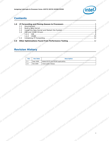

## **Contents**

| <i>(intel)</i><br>Assigning Interrupts to Processor Cores-82575/82576/82598/82599                                                                                                                                                                                                                                                                                                                                                                       |
|---------------------------------------------------------------------------------------------------------------------------------------------------------------------------------------------------------------------------------------------------------------------------------------------------------------------------------------------------------------------------------------------------------------------------------------------------------|
| <b>Contents</b><br>1.0 IP Forwarding and Pinning Queues to Processors<br>1.4 IGB and IXGBE Drivers<br>$\bigcirc$ 1.4.1 IGB<br>8.0 Other Optimizations Found From Performance Testing<br><b>Revision History</b><br><u>the community of the community of the community of the community of the community of the community of the community of the community of the community of the community of the community of the community of the community of </u> |
| Rev Rev Date<br>$\sim 0$<br><b>Description</b><br><b>START START</b><br>$\sim$ 0.1<br>2.1 Sept 2009 Added 82576 and 82599 applicability.<br>2.0 Feb 2009 Initial public release.<br>and the second second                                                                                                                                                                                                                                               |
|                                                                                                                                                                                                                                                                                                                                                                                                                                                         |
|                                                                                                                                                                                                                                                                                                                                                                                                                                                         |
|                                                                                                                                                                                                                                                                                                                                                                                                                                                         |
|                                                                                                                                                                                                                                                                                                                                                                                                                                                         |
|                                                                                                                                                                                                                                                                                                                                                                                                                                                         |

## **Revision History**

| Jefined undefined under | <b>Rev</b> | <b>Rev Date</b> | <b>Description</b><br>madelined undefined undefined undefined undefined undefined undefined undefined undefined                                                                                                                | undefined |
|-------------------------|------------|-----------------|--------------------------------------------------------------------------------------------------------------------------------------------------------------------------------------------------------------------------------|-----------|
|                         |            |                 |                                                                                                                                                                                                                                |           |
|                         |            |                 |                                                                                                                                                                                                                                |           |
|                         |            |                 |                                                                                                                                                                                                                                |           |
|                         |            |                 |                                                                                                                                                                                                                                |           |
|                         |            |                 |                                                                                                                                                                                                                                |           |
|                         |            |                 |                                                                                                                                                                                                                                |           |
|                         |            |                 |                                                                                                                                                                                                                                |           |
|                         |            |                 |                                                                                                                                                                                                                                |           |
|                         |            |                 |                                                                                                                                                                                                                                |           |
|                         |            |                 |                                                                                                                                                                                                                                |           |
|                         |            |                 |                                                                                                                                                                                                                                |           |
|                         |            |                 |                                                                                                                                                                                                                                |           |
|                         |            |                 |                                                                                                                                                                                                                                |           |
|                         |            |                 |                                                                                                                                                                                                                                |           |
|                         |            |                 |                                                                                                                                                                                                                                |           |
|                         |            |                 |                                                                                                                                                                                                                                |           |
|                         |            |                 |                                                                                                                                                                                                                                |           |
|                         |            |                 |                                                                                                                                                                                                                                |           |
|                         |            |                 |                                                                                                                                                                                                                                |           |
|                         |            |                 |                                                                                                                                                                                                                                |           |
|                         |            |                 |                                                                                                                                                                                                                                |           |
|                         |            |                 |                                                                                                                                                                                                                                |           |
|                         |            |                 |                                                                                                                                                                                                                                |           |
|                         |            |                 |                                                                                                                                                                                                                                |           |
|                         |            |                 |                                                                                                                                                                                                                                |           |
|                         |            |                 |                                                                                                                                                                                                                                |           |
|                         |            |                 |                                                                                                                                                                                                                                |           |
|                         |            |                 |                                                                                                                                                                                                                                |           |
|                         |            |                 | in the transition of the problem and the definition of the control three discontinues underlined underlined underlined underlined underlined underlined underlined underlined underlined underlined underlined underlined unde |           |
|                         |            |                 |                                                                                                                                                                                                                                |           |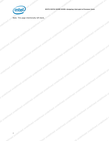

Accepted the control interfering of the definition of the control interfering in the distribution of the control interfering of the control interfering of the control interfering of the control interfering of the control i

*Note: This page intentionally left blank.*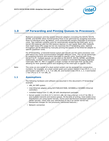

undefined undefined undefined

## <span id="page-4-0"></span>**1.0 IP Forwarding and Pinning Queues to Processors**

Multicore processors and the newest Ethernet adapters (including the 82575, 82576, 82598, and 82599) allow TCP forwarding flows to be optimized by assigning execution flows to individual cores. By default, Linux automatically assigns interrupts to processor cores. Two methods currently exist for automatically assigning the interrupts, an inkernel IRQ balancer and the IRQ balance daemon in user space. Both offer tradeoffs that might lower CPU usage but do not maximize the IP forwarding rates. Optimal throughput can be obtained by manually pinning the queues of the Ethernet adapter to specific processor cores. **undefined undefined undefined undefined undefined undefined undefined undefined undefined undefined undefined undefined undefined undefined undefined undefined undefined undefined undefined undefined undefined undefined undefined undefined undefined undefined undefined undefined undefined undefined undefined undefined undefined undefined undefined undefined undefined undefined undefined undefined undefined undefined undefined undefined undefined undefined undefined undefined undefined undefined undefined undefined undefined undefined undefined undefined undefined undefined undefined undefined undefined undefined undefined undefined undefined undefined undefined undefined undefined undefined undefined undefined undefined undefined undefined undefined undefined undefined undefined undefined undefined undefined undefined undefined undefined undefined undefined undefined undefined undefined undefined undefined undefined undefined undefined undefined undefined undefined undefined undefined undefined undefined undefined undefined undefined undefined undefined undefined undefined undefined undefined undefined undefined undefined undefined undefined undefined undefined undefined undefined undefined undefined undefined undefined undefined undefined undefined undefined undefined undefined undefined undefined undefined undefined undefined undefined undefined undefined undefined undefined undefined undefined undefined undefined undefined undefined undefined undefined undefined undefined undefined undefined undefined undefined undefined undefined undefined undefined undefined undefined undefined undefined undefined undefined undefined undefined undefined undefined undefined undefined undefined undefined undefined undefined undefined undefined undefined undefined undefined undefined undefined undefined undefined undefined undefined undefined undefined undefined undefined undefined undefined undefined undefined undefined undefined undefined undefined undefined undefined undefined undefined undefined undefined undefined undefined undefined undefined undefined undefined undefined undefined undefined undefined undefined undefined undefined undefined undefined undefined undefined undefined undefined undefined undefined undefined undefined undefined undefined undefined undefined undefined undefined undefined undefined undefined undefined undefined undefined undefined undefined undefined undefined undefined undefined undefined undefined undefined undefined undefined undefined undefined undefined undefined undefined undefined undefined undefined undefined undefined undefined undefined undefined undefined undefined undefined undefined undefined undefined undefined undefined undefined undefined undefined undefined undefined undefined undefined undefined undefined undefined undefined undefined undefined undefined undefined undefined undefined undefined undefined undefined undefined undefined undefined undefined undefined undefined undefined undefined undefined undefined undefined undefined undefined undefined undefined undefined undefined undefined undefined undefined undefined undefined undefined undefined undefined undefined undefined undefined undefined undefined undefined undefined undefined undefined undefined undefined undefined undefined undefined undefined undefined undefined undefined undefined undefined undefined undefined undefined undefined undefined undefined undefined undefined undefined undefined undefined undefined undefined undefined undefined undefined undefined undefined undefined undefined undefined undefined undefined undefined undefined undefined undefined undefined undefined undefined undefined undefined undefined undefined undefined undefined undefined undefined undefined undefined undefined undefined undefined undefined undefined undefined undefined undefined undefined undefined undefined undefined undefined undefined undefined undefined undefined undefined undefined undefined undefined undefined undefined undefined undefined undefined undefined undefined undefined undefined undefined undefined undefined undefined undefined undefined undefined undefined undefined undefined undefined undefined undefined undefined undefined** 

For IP forwarding, a transmit/receive queue pair should use the same processor core and reduce any cache synchronization between different cores. This can be performed by assigning transmit and receive interrupts to specific cores. Starting with Linux kernel 2.6.27, multiple queues can be used on the 82575, 82576, 82598, and 82599. Additionally, multiple transmit queues were enabled in Extended Messaging Signaled Interrupts (MSI-X). MSI-X supports a larger number of interrupts that can be used, allowing for finer-grained control and targeting of the interrupts to specific CPUs.

*S. Sales corres on one socket of a dual-socket system can be assigned non-consecutive*<br> *Note:*<br>
The cores on one socket of a dual-socket system can be assigned non-consecutive<br>
and Socket 1 has CPU 1 3 5 7 cm ........... numbers. For example, on a dual-socket quad-core system Socket 0 has CPU 0, 2, 4, 6 and Socket 1 has CPU 1, 3, 5, 7 on x86\_64, and Socket 0 has CPU 0, 1, 2, 3 and Socket 1 has CPU 4, 5, 6 7 on x86\_32.

### <span id="page-4-1"></span>**1.1 Assumptions**

The following hardware and software are assumed in this document's IP forwarding example:

- x86\_64 SMP system
- Intel Ethernet adapter using 82575EB,82576EB, 82598EB,or 82599ES Ethernet controllers
- Installed Fedora Core 11 x86\_64 with development packages
- Kernel version 2.6.29.6-217.2.16.fc11.x86\_64 (Use a kernel >2.6.27 for MSI-X and multiple transmit and receive queues. At the time of writing, most stable Linux distributions are using earlier kernels. Some Linux distributions backport patches to earlier kernels; check with your distribution to see if an earlier kernel has backported changes for the previously mentioned features.)
- efined undefined undefined undefined undefined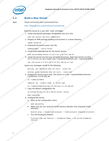*Assigning Interrupts to Processor Cores—82575/82576/82598/82599*

## **1.2 Build a New Kernel**

#### <span id="page-5-0"></span>*Note:* These instructions were summarized from

http://fedoraproject.org/wiki/Docs/CustomKernel.

Build the kernel as a user with "sudo" privileges.

1. Install prerequisite packages *rpmdevtools* and *yum-utils*.

sudo yum install yum-utils rpmdevtools

2. Prepare an RPM package building environment in a home directory.

rpmdev-setuptree

3. Download the kernel source rpm file.

yumdownloader --source kernel

4. Install build dependencies for the kernel source:

sudo yum-builddep kernel-2.6.29.6-217.2.16.fc11.x86\_64

5. Install the kernel into the local *rpmbuild* directories. Note that kernel-2.6.29.6- 217.2.16.fc11.src.rpm installs into ~/rpmbuild/SOURCES and ~/rpmbuild/SPECS. **undefined undefined undefined undefined undefined undefined undefined undefined undefined undefined undefined undefined undefined undefined undefined undefined undefined undefined undefined undefined undefined undefined undefined undefined undefined undefined undefined undefined undefined undefined undefined undefined undefined undefined undefined undefined undefined undefined undefined undefined undefined undefined undefined undefined undefined undefined undefined undefined undefined undefined undefined undefined undefined undefined undefined undefined undefined undefined undefined undefined undefined undefined undefined undefined undefined undefined undefined undefined undefined undefined undefined undefined undefined undefined undefined undefined undefined undefined undefined undefined undefined undefined undefined undefined undefined undefined undefined undefined undefined undefined undefined undefined undefined undefined undefined undefined undefined undefined undefined undefined undefined undefined undefined undefined undefined undefined undefined undefined undefined undefined undefined undefined undefined undefined undefined undefined undefined undefined undefined undefined undefined undefined undefined undefined undefined undefined undefined undefined undefined undefined undefined undefined undefined undefined undefined undefined undefined undefined undefined undefined undefined undefined undefined undefined undefined undefined undefined undefined undefined undefined undefined undefined undefined undefined undefined undefined undefined undefined undefined undefined undefined undefined undefined undefined undefined undefined undefined undefined undefined undefined undefined undefined undefined undefined undefined undefined undefined undefined undefined undefined undefined undefined undefined undefined undefined undefined undefined undefined undefined undefined undefined undefined undefined undefined undefined undefined undefined undefined undefined undefined undefined undefined undefined undefined undefined undefined undefined undefined undefined undefined undefined undefined undefined undefined undefined undefined undefined undefined undefined undefined undefined undefined undefined undefined undefined undefined undefined undefined undefined undefined undefined undefined undefined undefined undefined undefined undefined undefined undefined undefined undefined undefined undefined undefined undefined undefined undefined undefined undefined undefined undefined undefined undefined undefined undefined undefined undefined undefined undefined undefined undefined undefined undefined undefined undefined undefined undefined undefined undefined undefined undefined undefined undefined undefined undefined undefined undefined undefined undefined undefined undefined undefined undefined undefined undefined undefined undefined undefined undefined undefined undefined undefined undefined undefined undefined undefined undefined undefined undefined undefined undefined undefined undefined undefined undefined undefined undefined undefined undefined undefined undefined undefined undefined undefined undefined undefined undefined undefined undefined undefined undefined undefined undefined undefined undefined undefined undefined undefined undefined undefined undefined undefined undefined undefined undefined undefined undefined undefined undefined undefined undefined undefined undefined undefined undefined undefined undefined undefined undefined undefined undefined undefined undefined undefined undefined undefined undefined undefined undefined undefined undefined undefined undefined undefined undefined undefined undefined undefined undefined undefined undefined undefined undefined undefined undefined undefined undefined undefined undefined undefined undefined undefined undefined undefined undefined undefined undefined undefined undefined undefined undefined undefined undefined undefined undefined undefined undefined undefined undefined undefined undefined undefined undefined undefined undefined undefined undefined undefined undefined undefined undefined undefined undefined undefined undefined undefined undefined undefined undefined undefined** 

rpm -Uvh kernel-2.6.29.6-217.2.16.fc11.x86\_64.src.rpm

Ignore any messages similar to the following:

warning: group mockbuild does not exist - using root

warning: user mockbuild does not exist - using root<br>warning: group mockbuild does not exist - using root<br>Prepare the kernel source tree. The source is in the -/rpmbuild/BUILD/kernel-<br>2.6.29/linux-2.6.29.x86\_64.<br>cd -/rpmbui 6. Prepare the kernel source tree. The source is in the ~/rpmbuild/BUILD/kernel-2.6.29/linux-2.6.29.x86\_64.

cd ~/rpmbuild/SPECS

rpmbuild -bp --target=`uname -m` kernel.spec

cd  $\sim$ /rpmbuild/BUILD/kernel-2.6.29/linux-2.6.29.x86\_64/

7. Copy the default configuration file.

cp configs/kernel-2.6.29.6-x86\_64.config .config

make oldconfig

- 8. Configure the kernel.
	- a. Start up the configuration menu:

make menuconfig

b. Make sure you are using the SLUB memory allocator (the unqueued SLAB allocator):

General setup -> Choose SLAB allocator -> SLUB allocator (Unqueued Allocator)

c. Turn off forced pre-emption:

iser (See )<br>Contract indefined undefined Processor type and features -> Preemption Model -> No Forced Preemption<br>(Server)<br>and UNOS(inced Unoseined Unoseined Unoseined Unoseined Unoseined Unoseined Unoseined Unoseined Unoseined Unos<br>and Unoseined Unoseined Unosein (Server)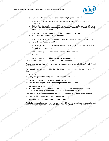

7

d. Turn on NUMA memory allocation (for multiple processors):

Processor type and features -> Numa Memory Allocation and Scheduler  $Support = Y$ 

Lower the interrupt frequency. 100 Hz is a typical choice for servers, SMP and<br>NUMA with most processors might show reduced performance when too many<br>timer interrupts are occurring: NUMA with most processors might show reduced performance when too many timer interrupts are occurring: **undefined undefined undefined undefined undefined undefined undefined undefined undefined undefined undefined undefined undefined undefined undefined undefined undefined undefined undefined undefined undefined undefined undefined undefined undefined undefined undefined undefined undefined undefined undefined undefined undefined undefined undefined undefined undefined undefined undefined undefined undefined undefined undefined undefined undefined undefined undefined undefined undefined undefined undefined undefined undefined undefined undefined undefined undefined undefined undefined undefined undefined undefined undefined undefined undefined undefined undefined undefined undefined undefined undefined undefined undefined undefined undefined undefined undefined undefined undefined undefined undefined undefined undefined undefined undefined undefined undefined undefined undefined undefined undefined undefined undefined undefined undefined undefined undefined undefined undefined undefined undefined undefined undefined undefined undefined undefined undefined undefined undefined undefined undefined undefined undefined undefined undefined undefined undefined undefined undefined undefined undefined undefined undefined undefined undefined undefined undefined undefined undefined undefined undefined undefined undefined undefined undefined undefined undefined undefined undefined undefined undefined undefined undefined undefined undefined undefined undefined undefined undefined undefined undefined undefined undefined undefined undefined undefined undefined undefined undefined undefined undefined undefined undefined undefined undefined undefined undefined undefined undefined undefined undefined undefined undefined undefined undefined undefined undefined undefined undefined undefined undefined undefined undefined undefined undefined undefined undefined undefined undefined undefined undefined undefined undefined undefined undefined undefined undefined undefined undefined undefined undefined undefined undefined undefined undefined undefined undefined undefined undefined undefined undefined undefined undefined undefined undefined undefined undefined undefined undefined undefined undefined undefined undefined undefined undefined undefined undefined undefined undefined undefined undefined undefined undefined undefined undefined undefined undefined undefined undefined undefined undefined undefined undefined undefined undefined undefined undefined undefined undefined undefined undefined undefined undefined undefined undefined undefined undefined undefined undefined undefined undefined undefined undefined undefined undefined undefined undefined undefined undefined undefined undefined undefined undefined undefined undefined undefined undefined undefined undefined undefined undefined undefined undefined undefined undefined undefined undefined undefined undefined undefined undefined undefined undefined undefined undefined undefined undefined undefined undefined undefined undefined undefined undefined undefined undefined undefined undefined undefined undefined undefined undefined undefined undefined undefined undefined undefined undefined undefined undefined undefined undefined undefined undefined undefined undefined undefined undefined undefined undefined undefined undefined undefined undefined undefined undefined undefined undefined undefined undefined undefined undefined undefined undefined undefined undefined undefined undefined undefined undefined undefined undefined undefined undefined undefined undefined undefined undefined undefined undefined undefined undefined undefined undefined undefined undefined undefined undefined undefined undefined undefined undefined undefined undefined undefined undefined undefined undefined undefined undefined undefined undefined undefined undefined undefined undefined undefined undefined undefined undefined undefined undefined undefined undefined undefined undefined undefined undefined undefined undefined undefined undefined undefined undefined undefined undefined undefined undefined undefined undefined undefined undefined undefined undefined undefined undefined undefined undefined undefined undefined undefined** 

Processor type and features -> Timer Frequency -> 100 Hz

f. Make sure MSI and MSI-X are enabled:

Bus options (PCI etc.) -> Message Signaled Interrupts (MSI and MSI-X)

g. Turn off Fair Queueing and QoS:

Networking support -> Networking Options -> QoS and/or Fair Queueing = N<br>
Turn off kernel statistics:<br>
Kernel hacking -> Collect kernel timers statistics = N<br>
If possible:<br>
Kernel hacking -> Collect and Collect and Collect

h. Turn off kernel statistics:

Kernel hacking -> Collect kernel timers statistics = N

If possible:

Kernel hacking -> Collect scheduler statistics = N

9. Add a new comment line to the top of the .config file.

The comment should contain the hardware platform the kernel is built for. This is found with *uname -i*. undefined undefined undefing!

For example, an  $x86\_64$  machine has the following line added to the top of the config<br>file:<br>#  $x86\_64$ <br>10. Copy the generated config file to  $\sim$ /rpmbuild/SOURCES 4<br>cp. config  $\sim$ /rpmbuild/1

# x86\_64

10. Copy the generated config file to *~/rpmbuild/SOURCES/*:

cp .config ~/rpmbuild/SOURCES/config-x86\_64

11. Edit the kernel.spec file to create unique kernel package names.

cd ~/rpmbuild/SPECS

12. Edit the *buildid* line in the *kernel.spec* file to generate a unique kernel name. Change the line *#% define buildid .local* to *%define buildid .test*.

Note that there is a space between the "*%"* and "*define"* that needs to be deleted.

13. Use the rpmbuild utility to build the new RPM files.

rpmbuild -bb --target=`uname -m` kernel.spec

The build process takes some time to complete. If the build completes successfully, the<br>new kernel packages can be found in the ~/rpmbuild/RPMS/x86\_64 directory.<br>Note that the setting of under the setting of under the sett new kernel packages can be found in the ~/rpmbuild/RPMS/x86\_64 directory.<br>Let the during during the office undertined undertined in the strategies in the filmed undertined under the strategies with the strategies of the co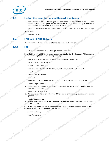<span id="page-7-0"></span>

*Assigning Interrupts to Processor Cores—82575/82576/82598/82599*

## **Install the New Kernel and Restart the System**

1. Install the new kernel with the rpm *-ivh* command. Do not use the *-U* or *--upgrade* options as that deletes your current kernel and it might be necessary to go back to an older version of the kernel if problems occur. **undefined undefined undefined undefined undefined undefined undefined undefined undefined undefined undefined undefined undefined undefined undefined undefined undefined undefined undefined undefined undefined undefined undefined undefined undefined undefined undefined undefined undefined undefined undefined undefined undefined undefined undefined undefined undefined undefined undefined undefined undefined undefined undefined undefined undefined undefined undefined undefined undefined undefined undefined undefined undefined undefined undefined undefined undefined undefined undefined undefined undefined undefined undefined undefined undefined undefined undefined undefined undefined undefined undefined undefined undefined undefined undefined undefined undefined undefined undefined undefined undefined undefined undefined undefined undefined undefined undefined undefined undefined undefined undefined undefined undefined undefined undefined undefined undefined undefined undefined undefined undefined undefined undefined undefined undefined undefined undefined undefined undefined undefined undefined undefined undefined undefined undefined undefined undefined undefined undefined undefined undefined undefined undefined undefined undefined undefined undefined undefined undefined undefined undefined undefined undefined undefined undefined undefined undefined undefined undefined undefined undefined undefined undefined undefined undefined undefined undefined undefined undefined undefined undefined undefined undefined undefined undefined undefined undefined undefined undefined undefined undefined undefined undefined undefined undefined undefined undefined undefined undefined undefined undefined undefined undefined undefined undefined undefined undefined undefined undefined undefined undefined undefined undefined undefined undefined undefined undefined undefined undefined undefined undefined undefined undefined undefined undefined undefined undefined undefined undefined undefined undefined undefined undefined undefined undefined undefined undefined undefined undefined undefined undefined undefined undefined undefined undefined undefined undefined undefined undefined undefined undefined undefined undefined undefined undefined undefined undefined undefined undefined undefined undefined undefined undefined undefined undefined undefined undefined undefined undefined undefined undefined undefined undefined undefined undefined undefined undefined undefined undefined undefined undefined undefined undefined undefined undefined undefined undefined undefined undefined undefined undefined undefined undefined undefined undefined undefined undefined undefined undefined undefined undefined undefined undefined undefined undefined undefined undefined undefined undefined undefined undefined undefined undefined undefined undefined undefined undefined undefined undefined undefined undefined undefined undefined undefined undefined undefined undefined undefined undefined undefined undefined undefined undefined undefined undefined undefined undefined undefined undefined undefined undefined undefined undefined undefined undefined undefined undefined undefined undefined undefined undefined undefined undefined undefined undefined undefined undefined undefined undefined undefined undefined undefined undefined undefined undefined undefined undefined undefined undefined undefined undefined undefined undefined undefined undefined undefined undefined undefined undefined undefined undefined undefined undefined undefined undefined undefined undefined undefined undefined undefined undefined undefined undefined undefined undefined undefined undefined undefined undefined undefined undefined undefined undefined undefined undefined undefined undefined undefined undefined undefined undefined undefined undefined undefined undefined undefined undefined undefined undefined undefined undefined undefined undefined undefined undefined undefined undefined undefined undefined undefined undefined undefined undefined undefined undefined undefined undefined undefined undefined undefined undefined undefined undefined undefined undefined undefined undefined undefined undefined undefined** 

rpm -ivh ~/rpmbuild/RPMS/x86\_64/kernel- 2.6.29.6-217.2.16.test.fc11.x86\_64.rpm

2. Reboot.

shutdown -r now

## <span id="page-7-1"></span>**1.4 IGB and IXGBE Drivers**

The following sections are specific to the *igb* or the *ixgbe* drivers.

#### <span id="page-7-2"></span>**1.4.1 IGB**

1. Get the *igb* driver from sourceforge, compile and install.

Note that the extra CFLAGS allocate a separate handler for Tx cleanups. (This assumes an Ethernet adapter that uses the igb driver.).

wget http://downloads.sourceforge.net/e1000/igb-1.2.44.9.tar.gz

```
tar xzf igb-1.2.44.9.tar.gz
```

```
cd igb-1.2.44.9/src/
```
sudo make CFLAGS\_EXTRA="-DCONFIG\_IGB\_SEPARATE\_TX\_HANDLER " install

 $cd \ldots$ /...

2. Remove the old drivers.

rmmod igb

3. Add the module to the kernel using MSI-X interrupts and multiple queues.

modprobe igb IntMode=3

4. Make sure IRQ balance is turned off. This fails if the service isn't running, but the error can be ignored.

service irqbalance stop

5. Make sure iptables is off. This fails if the service isn't running, but the error can be ignored.

service iptables stop

6. Make sure the interface is up. The interface must be up for the interrupts to appear in */proc/interrupts*.

Check *ifconfig -all* to see which interfaces are assigned to the Ethernet adapter. This example assumes that the interfaces are *eth1* and *eth2*.<br>
ifconfig eth1 up<br>
ifconfig th2 up<br>
if indefined undefined<br>
undefined undefined

ifconfig eth1 up

fined undefined undefined undet ifconfig eth2 up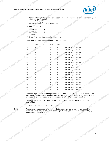

| processor                                           | : 0        |                  |      |
|-----------------------------------------------------|------------|------------------|------|
| processor                                           | : 1        |                  |      |
| processor                                           | $\colon$ 2 |                  |      |
| processor                                           | $\colon$ 3 |                  |      |
| 8. Check the <i>proc filesystem</i> for interrupts. |            |                  |      |
| The following table should appear in /proc/in       |            |                  |      |
| CPU0                                                |            | CPU <sub>2</sub> | CPU3 |

|       | (intel)<br>82575/82576/82598/82599-Assigning Interrupts to Processor Cores<br>7. Assign interrupts to specific processors. Check the number of processor (cores) by checking /proc/cpuinfo.<br>cat /proc/cpuinfo   grep processor<br>The output looks like:<br>$\cdot$ 0<br>processor<br>$processor$ : 1<br>$\cdot$ 2<br>processor<br>$\therefore$ 3<br>processor                                                                                                                                                                                                                                                                                                                                                                                                                                                                                                                                                                                                                                                                                                                                                                                                                                                                                                                                                 |  |
|-------|-------------------------------------------------------------------------------------------------------------------------------------------------------------------------------------------------------------------------------------------------------------------------------------------------------------------------------------------------------------------------------------------------------------------------------------------------------------------------------------------------------------------------------------------------------------------------------------------------------------------------------------------------------------------------------------------------------------------------------------------------------------------------------------------------------------------------------------------------------------------------------------------------------------------------------------------------------------------------------------------------------------------------------------------------------------------------------------------------------------------------------------------------------------------------------------------------------------------------------------------------------------------------------------------------------------------|--|
|       | 8. Check the proc filesystem for interrupts.<br>The following table should appear in /proc/interrupts:<br>CPU0 CPU1 CPU2 CPU3<br>PCI-MSI-edge ethl-tx-0<br>29<br>$\overline{0}$<br>$\overline{0}$<br>$\overline{0}$<br>PCI-MSI-edge ethl-tx-1<br>30<br>$\bigcap$<br>$\begin{matrix} 0 & 0 & 0 \end{matrix}$<br>PCI-MSI-edge ethl-tx-2<br>$31 \wedge^{\vee} 0$<br>$\overline{0}$<br>$\overline{0}$<br>$\overline{0}$<br>$0$ 0 $0$ $PCI-MSI-edge$ ethl-tx-3<br>32<br>$\overline{0}$<br>$\overline{0}$<br>PCI-MSI-edge ethl-rx-0<br>$\begin{matrix}0&0\end{matrix}$<br>5 <sub>1</sub><br>33<br>PCI-MSI-edge ethl-rx-1<br>$\overline{0}$<br>$\begin{bmatrix} 0 & 0 \end{bmatrix}$<br>34<br>$5^{\circ}$<br>PCI-MSI-edge ethl-rx-2<br>$\overline{0}$<br>35<br>$\overline{0}$<br>$\bigcirc$<br>$PCI-MSI-edge$ ethl- $rx-3$<br>$0 \leq \epsilon$ 0<br>36<br>$\overline{0}$<br>5 <sub>5</sub><br>PCI-MSI-edge ethl<br>37<br>PCI-MSI-edge eth2-tx-0<br>39<br>$\overline{0}$<br>$\overline{0}$<br>$\sim$ 0<br>$\overline{\phantom{0}}$<br>PCI-MSI-edge eth2-tx-1<br>40<br>$\overline{0}$<br>$\circ$                                                                                                                                                                                                                          |  |
| Note: | PCI-MSI-edge eth2-tx-2<br>$41 \quad \circ \quad \circ \quad \circ \quad \circ$<br>$\begin{matrix}0&0\end{matrix}$<br>PCI-MSI-edge eth2-tx-3<br>$\begin{matrix} 0 & 0 & 0 \end{matrix}$<br>$42^\circ$<br>$\overline{0}$<br>0 0 0 0 PCI-MSI-edge eth2-rx-0<br>43<br>6 <sup>6</sup><br>PCI-MSI-edge eth2-rx-1<br>44<br>$\overline{0}$<br>$\begin{array}{ccc} & & & 0 & \hline \end{array}$<br>$6\overline{6}$<br>$\begin{array}{ccc} & & & 0 & \hline & & & 0 & \hline \end{array}$<br>PCI-MSI-edge eth2-rx-2<br>45<br>$\overline{0}$<br>6<br>$PCI-MSI-edge$ eth2-rx-3<br>$\overline{0}$<br>$\overline{0}$<br>46<br>$6\overline{6}$<br>PCI-MSI-edge eth2<br>47 2<br>$\overline{0}$<br>$\begin{bmatrix} 0 & 0 \end{bmatrix}$<br>The interrupts can be assigned to specific processors by assigning a processor to the interrupts. The processor number is converted to a binary mask, so processor 0 is 1, processor 2 is 4, processor 3 is 8 $(2^A$ processor<br>To assign eth1-tx-0 (29) to processor 1, echo the converted mask to /proc/irq/29/<br>smp_affinity.<br>echo 2 > /proc/irq/29/smp_affinity<br>The cores on one socket of a dual-socket system are assigned non-consecutive<br>numbers. For example, on a dual-socket quad-core system Socket 0 has CPU 0, 2, 4, 6<br>and Socket 1 has CPU 1, 3, 5, 7. |  |
|       |                                                                                                                                                                                                                                                                                                                                                                                                                                                                                                                                                                                                                                                                                                                                                                                                                                                                                                                                                                                                                                                                                                                                                                                                                                                                                                                   |  |
|       |                                                                                                                                                                                                                                                                                                                                                                                                                                                                                                                                                                                                                                                                                                                                                                                                                                                                                                                                                                                                                                                                                                                                                                                                                                                                                                                   |  |
|       |                                                                                                                                                                                                                                                                                                                                                                                                                                                                                                                                                                                                                                                                                                                                                                                                                                                                                                                                                                                                                                                                                                                                                                                                                                                                                                                   |  |
|       |                                                                                                                                                                                                                                                                                                                                                                                                                                                                                                                                                                                                                                                                                                                                                                                                                                                                                                                                                                                                                                                                                                                                                                                                                                                                                                                   |  |
|       |                                                                                                                                                                                                                                                                                                                                                                                                                                                                                                                                                                                                                                                                                                                                                                                                                                                                                                                                                                                                                                                                                                                                                                                                                                                                                                                   |  |
|       |                                                                                                                                                                                                                                                                                                                                                                                                                                                                                                                                                                                                                                                                                                                                                                                                                                                                                                                                                                                                                                                                                                                                                                                                                                                                                                                   |  |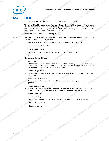

#### <span id="page-9-0"></span>**1.4.2 IXGBE**

1. Get the Ethernet driver from sourceforge, compile and install.

The extra CFLAGS disable Large Receive Offload (LRO). LRO increases performance by effectively letting the kernel handle fewer packet headers for the same amount of data but it causes the stack to fragment packets in the IP forwarding/routing case due to the large (effective) MTU size of the received packets. **undefined undefined undefined undefined undefined undefined undefined undefined undefined undefined undefined undefined undefined undefined undefined undefined undefined undefined undefined undefined undefined undefined undefined undefined undefined undefined undefined undefined undefined undefined undefined undefined undefined undefined undefined undefined undefined undefined undefined undefined undefined undefined undefined undefined undefined undefined undefined undefined undefined undefined undefined undefined undefined undefined undefined undefined undefined undefined undefined undefined undefined undefined undefined undefined undefined undefined undefined undefined undefined undefined undefined undefined undefined undefined undefined undefined undefined undefined undefined undefined undefined undefined undefined undefined undefined undefined undefined undefined undefined undefined undefined undefined undefined undefined undefined undefined undefined undefined undefined undefined undefined undefined undefined undefined undefined undefined undefined undefined undefined undefined undefined undefined undefined undefined undefined undefined undefined undefined undefined undefined undefined undefined undefined undefined undefined undefined undefined undefined undefined undefined undefined undefined undefined undefined undefined undefined undefined undefined undefined undefined undefined undefined undefined undefined undefined undefined undefined undefined undefined undefined undefined undefined undefined undefined undefined undefined undefined undefined undefined undefined undefined undefined undefined undefined undefined undefined undefined undefined undefined undefined undefined undefined undefined undefined undefined undefined undefined undefined undefined undefined undefined undefined undefined undefined undefined undefined undefined undefined undefined undefined undefined undefined undefined undefined undefined undefined undefined undefined undefined undefined undefined undefined undefined undefined undefined undefined undefined undefined undefined undefined undefined undefined undefined undefined undefined undefined undefined undefined undefined undefined undefined undefined undefined undefined undefined undefined undefined undefined undefined undefined undefined undefined undefined undefined undefined undefined undefined undefined undefined undefined undefined undefined undefined undefined undefined undefined undefined undefined undefined undefined undefined undefined undefined undefined undefined undefined undefined undefined undefined undefined undefined undefined undefined undefined undefined undefined undefined undefined undefined undefined undefined undefined undefined undefined undefined undefined undefined undefined undefined undefined undefined undefined undefined undefined undefined undefined undefined undefined undefined undefined undefined undefined undefined undefined undefined undefined undefined undefined undefined undefined undefined undefined undefined undefined undefined undefined undefined undefined undefined undefined undefined undefined undefined undefined undefined undefined undefined undefined undefined undefined undefined undefined undefined undefined undefined undefined undefined undefined undefined undefined undefined undefined undefined undefined undefined undefined undefined undefined undefined undefined undefined undefined undefined undefined undefined undefined undefined undefined undefined undefined undefined undefined undefined undefined undefined undefined undefined undefined undefined undefined undefined undefined undefined undefined undefined undefined undefined undefined undefined undefined undefined undefined undefined undefined undefined undefined undefined undefined undefined undefined undefined undefined undefined undefined undefined undefined undefined undefined undefined undefined undefined undefined undefined undefined undefined undefined undefined undefined undefined undefined undefined undefined undefined undefined undefined undefined undefined undefined undefined undefined undefined undefined undefined undefined undefined undefined undefined undefined undefined undefined** 

Force compilation of NAPI (Rx polling mode).

*Note:* The shell variable *EXTRA\_INC\_DIR\_SAVE* should be set to the *ioatdma* source directory when the *ioatdma* driver was installed.

wget http://downloads.sourceforge.net/e1000/ixgbe-1.3.31.5.tar.gz

```
tar xzf ixgbe-1.3.31.5.tar.gz
```
cd ixgbe-1.3.31.5/src

sudo make "CFLAGS\_EXTRA=-DIXGBE\_NO\_LRO -DIXGBE\_NAPI" install

cd ../..

2. Remove the old drivers.

rmmod ixgbe

3. Add the module to the kernel. If available on the platform, add the module to the kernel using Receive Side Scaling (RSS). RSS=1 sets the descriptor queue count to the number of online processors up to a maximum of 16.

modprobe ixgbe RSS=1,1

4. Make sure IRQ balance is off. This fails if the service isn't running, but the error can be ignored.

service irqbalance stop

5. Make sure iptables is off. This fails if the service isn't running, but the error can be ignored.

service iptables stop

6. Make sure the interface is up. The interface must be up for the interrupts to appear in */proc/interrupts*. This example assumes that the interfaces are *eth1* and *eth2*.<br>
if config eth up<br>
fit onfig eth transmit ring to 256 entries and the receive ring to 512 entries.<br>
ethtool - G eth1 tx 512<br>
ethtool -

ifconfig eth1 up

ifconfig eth2 up

7. Reduce the transmit ring to 256 entries and the receive ring to 512 entries.

ethtool -G eth1 tx 256

ethtool -G eth1 rx 512

10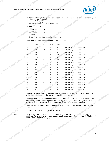

| processor | U  |
|-----------|----|
| processor | Т. |
| processor | 2  |
| processor | ર  |
|           |    |

| (intel)<br>82575/82576/82598/82599-Assigning Interrupts to Processor Cores<br>8. Assign interrupts to specific processors. Check the number of processor (cores) by checking /proc/cpuinfo.<br>cat /proc/cpuinfo   grep processor<br>The output looks like:<br>$\cdot$ 0<br>processor<br>$processor$ : 1<br>$\cdot$ 2<br>processor<br>$\therefore$ 3<br>processor<br>9. Check the proc filesystem for interrupts.<br>The following table should appear in /proc/interrupts:<br>CPU0 CPU1 CPU2 CPU3<br>PCI-MSI-edge ethl-rx-0<br>139<br>29<br>$\Omega$<br>$\overline{0}$<br>$\overline{0}$<br>118 0 0<br>30<br>PCI-MSI-edge ethl-rx-1<br>$\sim$ 21<br>PCI-MSI-edge ethl-rx-2<br>118<br>$31 \wedge$<br>$\overline{0}$<br>21<br>$\overline{0}$<br>$118^\circ$<br>PCI-MSI-edge<br>$eth1-rx-3$<br>32<br>21<br>$\overline{0}$<br>$\overline{0}$<br>PCI-MSI-edge ethl-tx-0<br>139<br>$\overline{0}$<br>$\overline{0}$<br>33<br>PCI-MSI-edge<br>$eth1-tx-1$<br>63<br>34<br>55<br>- 21<br>$eth1-tx-2$<br>PCI-MSI-edge<br>35<br>68<br>$\Omega$<br>$PCI-MSI-edge$ ethl-tx-3<br>63 50<br>36<br>$-5$<br>21<br>PCI-MSI-edge ethl:lsc<br>37<br>PCI-MSI-edge eth2-rx-0<br>38<br>89<br>$\overline{0}$<br>- 0<br>$eth2-rx-1$<br>PCI-MSI-edge<br>39<br>68<br>$\overline{0}$<br>$\overline{0}$<br>21<br>$eth2-rx-2$<br>PCI-MSI-edge<br>40<br>$\overline{0}$<br>$\sim$ 21<br>68<br>PCI-MSI-edge eth2-rx-3<br>68<br>41<<br>$\overline{0}$<br>$\overline{0}$<br>- 21<br>PCI-MSI-edge eth2-tx-0<br>$\overline{0}$<br>42<br>89<br>$\overline{0}$<br>$\begin{array}{c} 0 \\ 0 \end{array}$<br>$eth2-tx-1$<br>PCI-MSI-edge<br>43<br>68<br>21<br>$\overline{0}$<br>$\sim$ 0<br>$eth2-tx-2$<br>5 <sub>o</sub><br>PCI-MSI-edge<br>44<br>$\overline{0}$<br>$\overline{0}$<br>84<br>PCI-MSI-edge eth2-tx-3<br>63<br>45<br>$\overline{0}$<br>$-5$<br>PCI-MSI-edge eth2:lsc<br>46<br>$\overline{0}$ $\overline{0}$ $\overline{0}$ $\overline{0}$<br>$\overline{0}$<br>$\overline{0}$<br>The easiest way to assign the interrupts to queues is to use the set_irq_affinity.sh<br>script that is included in the latest released ixgbe drivers<br>The interrupts can be assigned to specific processors by assigning a processor to the interrupts. The processor number is converted to a binary mask, so processor 0 is 1, processor 1 is 2, processor 2 is 4, processor 3 is<br>To assign eth3: v0-Rx (2290) to processor 1, echo the converted mask to /proc/irq/<br>2290/smp_affinity.<br>echo 2 > /proc/irq/2290/smp_affinity<br>The cores on one socket of a dual-socket system are assigned non-consecutive<br>numbers. For example, on a dual-socket quad-core system Socket 0 has CPU 0, 2, 4, 6<br>and Socket 1 has CPU 1, 3, 5, 7.<br>Note:<br>11 |  |  |
|---------------------------------------------------------------------------------------------------------------------------------------------------------------------------------------------------------------------------------------------------------------------------------------------------------------------------------------------------------------------------------------------------------------------------------------------------------------------------------------------------------------------------------------------------------------------------------------------------------------------------------------------------------------------------------------------------------------------------------------------------------------------------------------------------------------------------------------------------------------------------------------------------------------------------------------------------------------------------------------------------------------------------------------------------------------------------------------------------------------------------------------------------------------------------------------------------------------------------------------------------------------------------------------------------------------------------------------------------------------------------------------------------------------------------------------------------------------------------------------------------------------------------------------------------------------------------------------------------------------------------------------------------------------------------------------------------------------------------------------------------------------------------------------------------------------------------------------------------------------------------------------------------------------------------------------------------------------------------------------------------------------------------------------------------------------------------------------------------------------------------------------------------------------------------------------------------------------------------------------------------------------------------------------------------------------------------------------------------------------------------------------------------------------------------------------------------------------------------------------------------------------------------------------------------------------------------------------------------------------------------------------------------------------------------------------------------------------------------|--|--|
|                                                                                                                                                                                                                                                                                                                                                                                                                                                                                                                                                                                                                                                                                                                                                                                                                                                                                                                                                                                                                                                                                                                                                                                                                                                                                                                                                                                                                                                                                                                                                                                                                                                                                                                                                                                                                                                                                                                                                                                                                                                                                                                                                                                                                                                                                                                                                                                                                                                                                                                                                                                                                                                                                                                           |  |  |
|                                                                                                                                                                                                                                                                                                                                                                                                                                                                                                                                                                                                                                                                                                                                                                                                                                                                                                                                                                                                                                                                                                                                                                                                                                                                                                                                                                                                                                                                                                                                                                                                                                                                                                                                                                                                                                                                                                                                                                                                                                                                                                                                                                                                                                                                                                                                                                                                                                                                                                                                                                                                                                                                                                                           |  |  |
|                                                                                                                                                                                                                                                                                                                                                                                                                                                                                                                                                                                                                                                                                                                                                                                                                                                                                                                                                                                                                                                                                                                                                                                                                                                                                                                                                                                                                                                                                                                                                                                                                                                                                                                                                                                                                                                                                                                                                                                                                                                                                                                                                                                                                                                                                                                                                                                                                                                                                                                                                                                                                                                                                                                           |  |  |
|                                                                                                                                                                                                                                                                                                                                                                                                                                                                                                                                                                                                                                                                                                                                                                                                                                                                                                                                                                                                                                                                                                                                                                                                                                                                                                                                                                                                                                                                                                                                                                                                                                                                                                                                                                                                                                                                                                                                                                                                                                                                                                                                                                                                                                                                                                                                                                                                                                                                                                                                                                                                                                                                                                                           |  |  |
|                                                                                                                                                                                                                                                                                                                                                                                                                                                                                                                                                                                                                                                                                                                                                                                                                                                                                                                                                                                                                                                                                                                                                                                                                                                                                                                                                                                                                                                                                                                                                                                                                                                                                                                                                                                                                                                                                                                                                                                                                                                                                                                                                                                                                                                                                                                                                                                                                                                                                                                                                                                                                                                                                                                           |  |  |
|                                                                                                                                                                                                                                                                                                                                                                                                                                                                                                                                                                                                                                                                                                                                                                                                                                                                                                                                                                                                                                                                                                                                                                                                                                                                                                                                                                                                                                                                                                                                                                                                                                                                                                                                                                                                                                                                                                                                                                                                                                                                                                                                                                                                                                                                                                                                                                                                                                                                                                                                                                                                                                                                                                                           |  |  |
|                                                                                                                                                                                                                                                                                                                                                                                                                                                                                                                                                                                                                                                                                                                                                                                                                                                                                                                                                                                                                                                                                                                                                                                                                                                                                                                                                                                                                                                                                                                                                                                                                                                                                                                                                                                                                                                                                                                                                                                                                                                                                                                                                                                                                                                                                                                                                                                                                                                                                                                                                                                                                                                                                                                           |  |  |
|                                                                                                                                                                                                                                                                                                                                                                                                                                                                                                                                                                                                                                                                                                                                                                                                                                                                                                                                                                                                                                                                                                                                                                                                                                                                                                                                                                                                                                                                                                                                                                                                                                                                                                                                                                                                                                                                                                                                                                                                                                                                                                                                                                                                                                                                                                                                                                                                                                                                                                                                                                                                                                                                                                                           |  |  |
|                                                                                                                                                                                                                                                                                                                                                                                                                                                                                                                                                                                                                                                                                                                                                                                                                                                                                                                                                                                                                                                                                                                                                                                                                                                                                                                                                                                                                                                                                                                                                                                                                                                                                                                                                                                                                                                                                                                                                                                                                                                                                                                                                                                                                                                                                                                                                                                                                                                                                                                                                                                                                                                                                                                           |  |  |
|                                                                                                                                                                                                                                                                                                                                                                                                                                                                                                                                                                                                                                                                                                                                                                                                                                                                                                                                                                                                                                                                                                                                                                                                                                                                                                                                                                                                                                                                                                                                                                                                                                                                                                                                                                                                                                                                                                                                                                                                                                                                                                                                                                                                                                                                                                                                                                                                                                                                                                                                                                                                                                                                                                                           |  |  |
|                                                                                                                                                                                                                                                                                                                                                                                                                                                                                                                                                                                                                                                                                                                                                                                                                                                                                                                                                                                                                                                                                                                                                                                                                                                                                                                                                                                                                                                                                                                                                                                                                                                                                                                                                                                                                                                                                                                                                                                                                                                                                                                                                                                                                                                                                                                                                                                                                                                                                                                                                                                                                                                                                                                           |  |  |
|                                                                                                                                                                                                                                                                                                                                                                                                                                                                                                                                                                                                                                                                                                                                                                                                                                                                                                                                                                                                                                                                                                                                                                                                                                                                                                                                                                                                                                                                                                                                                                                                                                                                                                                                                                                                                                                                                                                                                                                                                                                                                                                                                                                                                                                                                                                                                                                                                                                                                                                                                                                                                                                                                                                           |  |  |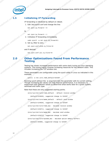# *Assigning Interrupts to Processor Cores—82575/82576/82598/82599*<br> **Example 2014**<br>
Ly default on reboot.<br>
Independence the line:<br>  $\begin{bmatrix}\n0 & 0 \\
0 & 0\n\end{bmatrix}$

# **1.5** Initializing IP Forwarding

<span id="page-11-0"></span>IP forwarding is initialized by default on reboot.

1. Edit */etc/sysctl.conf* and change the line:

net.ipv4.ip\_forward = 0

```
indefined under
```

```
net.ipv4.ip_forward = 1
```
2. Intitialize IP forwarding immediately.

sudo sysctl -w net.ipv4.ip\_forward=1

3. Set rp\_filter to zero.

net.ipv4.conf.eth0.rp\_filter=0

and if desired:

```
net.ipv4.conf.all.rp_filter=0
```
# <span id="page-11-1"></span>**2.0 Other Optimizations Found From Performance**<br> **2.0 Testing**<br> **Exting by Testing has shown increased performance with and systems**. The tuning mainly inverting the system includes increasing the system of the system **Testing**

Testing has shown increased performance with some stack tuning on Linux operating systems. The tuning mainly involves increasing resources for the network stack. This includes increasing the TCP window size.

These parameters are configurable using the *sysctl* utility in Linux as indicated in this example:

sysctl -w net.core.rmem\_default=524287

Running *sysctl* without the *-w* argument lists the parameter with its current setting. Though increasing the values can help improve performance, it is necessary to experiment with different values to determine what works best for a given system, workload and traffic type. aaa(default=20480), suggested change to 524287 **undefined undefined undefined undefined undefined undefined undefined undefined undefined undefined undefined undefined undefined undefined undefined undefined undefined undefined undefined undefined undefined undefined undefined undefined undefined undefined undefined undefined undefined undefined undefined undefined undefined undefined undefined undefined undefined undefined undefined undefined undefined undefined undefined undefined undefined undefined undefined undefined undefined undefined undefined undefined undefined undefined undefined undefined undefined undefined undefined undefined undefined undefined undefined undefined undefined undefined undefined undefined undefined undefined undefined undefined undefined undefined undefined undefined undefined undefined undefined undefined undefined undefined undefined undefined undefined undefined undefined undefined undefined undefined undefined undefined undefined undefined undefined undefined undefined undefined undefined undefined undefined undefined undefined undefined undefined undefined undefined undefined undefined undefined undefined undefined undefined undefined undefined undefined undefined undefined undefined undefined undefined undefined undefined undefined undefined undefined undefined undefined undefined undefined undefined undefined undefined undefined undefined undefined undefined undefined undefined undefined undefined undefined undefined undefined undefined undefined undefined undefined undefined undefined undefined undefined undefined undefined undefined undefined undefined undefined undefined undefined undefined undefined undefined undefined undefined undefined undefined undefined undefined undefined undefined undefined undefined undefined undefined undefined undefined undefined undefined undefined undefined undefined undefined undefined undefined undefined undefined undefined undefined undefined undefined undefined undefined undefined undefined undefined undefined undefined undefined undefined undefined undefined undefined undefined undefined undefined undefined undefined undefined undefined undefined undefined undefined undefined undefined undefined undefined undefined undefined undefined undefined undefined undefined undefined undefined undefined undefined undefined undefined undefined undefined undefined undefined undefined undefined undefined undefined undefined undefined undefined undefined undefined undefined undefined undefined undefined undefined undefined undefined undefined undefined undefined undefined undefined undefined undefined undefined undefined undefined undefined undefined undefined undefined undefined undefined undefined undefined undefined undefined undefined undefined undefined undefined undefined undefined undefined undefined undefined undefined undefined undefined undefined undefined undefined undefined undefined undefined undefined undefined undefined undefined undefined undefined undefined undefined undefined undefined undefined undefined undefined undefined undefined undefined undefined undefined undefined undefined undefined undefined undefined undefined undefined undefined undefined undefined undefined undefined undefined undefined undefined undefined undefined undefined undefined undefined undefined undefined undefined undefined undefined undefined undefined undefined undefined undefined undefined undefined undefined undefined undefined undefined undefined undefined undefined undefined undefined undefined undefined undefined undefined undefined undefined undefined undefined undefined undefined undefined undefined undefined undefined undefined undefined undefined undefined undefined undefined undefined undefined undefined undefined undefined undefined undefined undefined undefined undefined undefined undefined undefined undefined undefined undefined undefined undefined undefined undefined undefined undefined undefined undefined undefined undefined undefined undefined undefined undefined undefined undefined undefined undefined undefined undefined undefined undefined undefined undefined undefined undefined undefined undefined undefined undefined undefined undefined undefined undefined undefined undefined undefined undefined** 

Note that these are only suggested starting points.

/proc/sys/net/core/rmem\_default - default receive window

(default=124928), suggested change to 524287

/proc/sys/net/core/wmem\_default - default send window

(default=124928), suggested change to 524287

/proc/sys/net/core/rmem\_max - maximum receive window

(default=131071), suggested change to 524287

/proc/sys/net/core/wmem\_max - maximum send window

(default=131071), suggested change to 524287

/proc/sys/net/core/optmem\_max - maximum option memory buffers<br>(default=20480), suggested change to 524287<br>effined undefined undefined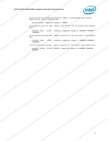

/proc/sys/net/core/netdev\_max\_backlog -number of unprocessed input packets before kernel starts dropping them

(default=1000), suggested change to 300000

82575/82576/82598/82599—Assigning Interrupts to Processor Cores<br>B2575/82576/82598/82599—Assigning Interrupts to Processor Cores<br>proc/sys/net/coresponded UTO  $/proc(sys/net/ipv4/tcp_rmem - memory reserved for TCP rev buffers (min default max)$ <br>(defaults 4096 87380 4194204) max)

(defaults 4096 87380 4194304), suggested change to 10000000 10000000<br>10000000 10000000

/proc/sys/net/ipv4/tcp\_wmem - memory reserved for TCP snd buffers (min default max)

(defaults 4096 16384 4194304), suggested change to 10000000 10000000 aaa110000000

/proc/sys/net/ipv4/tcp\_mem - memory reserved for TCP buffers (min default max) (defaults 193152 257536 386304), suggested change to 10000000 10000000 **undefined undefined undefined undefined undefined undefined undefined undefined undefined undefined undefined undefined undefined undefined undefined undefined undefined undefined undefined undefined undefined undefined undefined undefined undefined undefined undefined undefined undefined undefined undefined undefined undefined undefined undefined undefined undefined undefined undefined undefined undefined undefined undefined undefined undefined undefined undefined undefined undefined undefined undefined undefined undefined undefined undefined undefined undefined undefined undefined undefined undefined undefined undefined undefined undefined undefined undefined undefined undefined undefined undefined undefined undefined undefined undefined undefined undefined undefined undefined undefined undefined undefined undefined undefined undefined undefined undefined undefined undefined undefined undefined undefined undefined undefined undefined undefined undefined undefined undefined undefined undefined undefined undefined undefined undefined undefined undefined undefined undefined undefined undefined undefined undefined undefined undefined undefined undefined undefined undefined undefined undefined undefined undefined undefined undefined undefined undefined undefined undefined undefined undefined undefined undefined undefined undefined undefined undefined undefined undefined undefined undefined undefined undefined undefined undefined undefined undefined undefined undefined undefined undefined undefined undefined undefined undefined undefined undefined undefined undefined undefined undefined undefined undefined undefined undefined undefined undefined undefined undefined undefined undefined undefined undefined undefined undefined undefined undefined undefined undefined undefined undefined undefined undefined undefined undefined undefined undefined undefined undefined undefined undefined undefined undefined undefined undefined undefined undefined undefined undefined undefined undefined undefined undefined undefined undefined undefined undefined undefined undefined undefined undefined undefined undefined undefined undefined undefined undefined undefined undefined undefined undefined undefined undefined undefined undefined undefined undefined undefined undefined undefined undefined undefined undefined undefined undefined undefined undefined undefined undefined undefined undefined undefined undefined undefined undefined undefined undefined undefined undefined undefined undefined undefined undefined undefined undefined undefined undefined undefined undefined undefined undefined undefined undefined undefined undefined undefined undefined undefined undefined undefined undefined undefined undefined undefined undefined undefined undefined undefined undefined undefined undefined undefined undefined undefined undefined undefined undefined undefined undefined undefined undefined undefined undefined undefined undefined undefined undefined undefined undefined undefined undefined undefined undefined undefined undefined undefined undefined undefined undefined undefined undefined undefined undefined undefined undefined undefined undefined undefined undefined undefined undefined undefined undefined undefined undefined undefined undefined undefined undefined undefined undefined undefined undefined undefined undefined undefined undefined undefined undefined undefined undefined undefined undefined undefined undefined undefined undefined undefined undefined undefined undefined undefined undefined undefined undefined undefined undefined undefined undefined undefined undefined undefined undefined undefined undefined undefined undefined undefined undefined undefined undefined undefined undefined undefined undefined undefined undefined undefined undefined undefined undefined undefined undefined undefined undefined undefined undefined undefined undefined undefined undefined undefined undefined undefined undefined undefined undefined undefined undefined undefined undefined undefined undefined undefined undefined undefined undefined undefined undefined undefined undefined undefined undefined undefined undefined undefined undefined undefined undefined undefined** 

10000000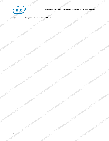

*Assigning Interrupts to Processor Cores—82575/82576/82598/82599*

A company in the first of the production of the company of the production of the production of the production of the production of the production of the production of the production of the production of the production of t

*Note:* This page intentionally left blank.